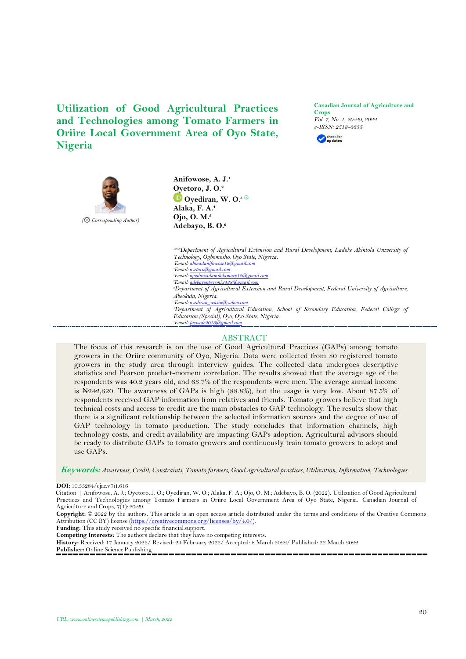**Utilization of Good Agricultural Practices and Technologies among Tomato Farmers in Oriire Local Government Area of Oyo State, Nigeria**

**Canadian Journal of Agriculture and Crops** *Vol. 7, No. 1, 20-29, 2022 e-ISSN: 2518-6655*





**Anifowose, A. J.<sup>1</sup> [Oye](https://orcid.org/0000-0003-4490-5736)toro, J. O.<sup>2</sup> Oyediran, W. O.3** ۞ **Alaka, F. A.<sup>4</sup> Ojo, O. M.<sup>5</sup> Adebayo, B. O.<sup>6</sup>**

*1,2,5,6Department of Agricultural Extension and Rural Development, Ladoke Akintola University of Technology, Ogbomosho, Oyo State, Nigeria. <sup>1</sup>Email[: ahmadanifowose12@gmail.com](mailto:ahmadanifowose12@gmail.com) <sup>2</sup>Email[: oyetoro@gmail.com](mailto:oyetoro@gmail.com) <sup>5</sup>Email[: ojooluwadamilolamary12@gmail.com](mailto:ojooluwadamilolamary12@gmail.com) <sup>6</sup>Email[: adebayoopeyemi3438@gmail.com](mailto:adebayoopeyemi3438@gmail.com) <sup>3</sup>Department of Agricultural Extension and Rural Development, Federal University of Agriculture, Abeokuta, Nigeria. <sup>3</sup>Email*: *oyedi <sup>4</sup>Department of Agricultural Education, School of Secondary Education, Federal College of Education (Special), Oyo, Oyo State, Nigeria. <sup><i>t</sup>Email: fay*</sup>

# ABSTRACT

The focus of this research is on the use of Good Agricultural Practices (GAPs) among tomato growers in the Oriire community of Oyo, Nigeria. Data were collected from 80 registered tomato growers in the study area through interview guides. The collected data undergoes descriptive statistics and Pearson product-moment correlation. The results showed that the average age of the respondents was 40.2 years old, and 63.7% of the respondents were men. The average annual income is ₦242,620. The awareness of GAPs is high (88.8%), but the usage is very low. About 87.5% of respondents received GAP information from relatives and friends. Tomato growers believe that high technical costs and access to credit are the main obstacles to GAP technology. The results show that there is a significant relationship between the selected information sources and the degree of use of GAP technology in tomato production. The study concludes that information channels, high technology costs, and credit availability are impacting GAPs adoption. Agricultural advisors should be ready to distribute GAPs to tomato growers and continuously train tomato growers to adopt and use GAPs.

**Keywords:** *Awareness, Credit, Constraints, Tomato farmers, Good agricultural practices, Utilization, Information, Technologies.*

Citation | Anifowose, A. J.; Oyetoro, J. O.; Oyediran, W. O.; Alaka, F. A.; Ojo, O. M.; Adebayo, B. O. (2022). Utilization of Good Agricultural Practices and Technologies among Tomato Farmers in Oriire Local Government Area of Oyo State, Nigeria. Canadian Journal of Agriculture and Crops, 7(1): 20-29.

**Copyright:** © 2022 by the authors. This article is an open access article distributed under the terms and conditions of the Creative Commons Attribution (CC BY) license [\(https://creativecommons.org/licenses/by/4.0/\)](https://creativecommons.org/licenses/by/4.0/).

**Funding:** This study received no specific financialsupport.

**Competing Interests:** The authors declare that they have no competing interests.

**History:** Received: 17 January 2022/ Revised: 24 February 2022/ Accepted: 8 March 2022/ Published: 22 March 2022

Publisher: Online Science Publishing

**DOI:** 10.55284/cjac.v7i1.616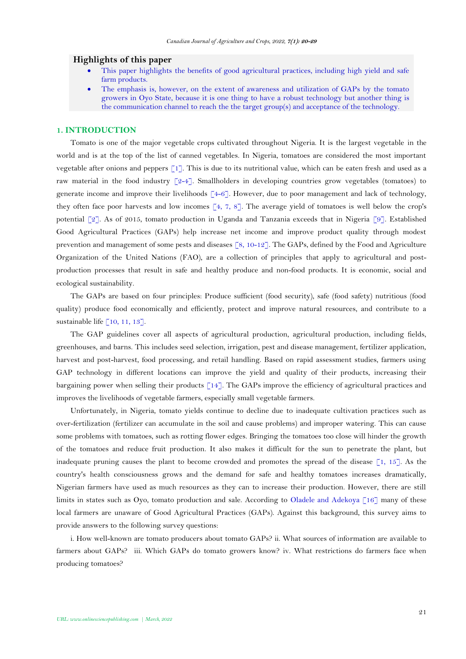### **Highlights of this paper**

- This paper highlights the benefits of good agricultural practices, including high yield and safe farm products.
- The emphasis is, however, on the extent of awareness and utilization of GAPs by the tomato growers in Oyo State, because it is one thing to have a robust technology but another thing is the communication channel to reach the the target group(s) and acceptance of the technology.

## **1. INTRODUCTION**

Tomato is one of the major vegetable crops cultivated throughout Nigeria. It is the largest vegetable in the world and is at the top of the list of canned vegetables. In Nigeria, tomatoes are considered the most important vegetable after onions and peppers [\[1\]](#page-7-0). This is due to its nutritional value, which can be eaten fresh and used as a raw material in the food industry  $[2-4]$ . Smallholders in developing countries grow vegetables (tomatoes) to generate income and improve their livelihoods  $\lceil 4-6 \rceil$ . However, due to poor management and lack of technology, they often face poor harvests and low incomes  $\lceil 4, 7, 8 \rceil$  $\lceil 4, 7, 8 \rceil$  $\lceil 4, 7, 8 \rceil$ . The average yield of tomatoes is well below the crop's potential [\[2\]](#page-7-1). As of 2015, tomato production in Uganda and Tanzania exceeds that in Nigeria [\[9\]](#page-8-2). Established Good Agricultural Practices (GAPs) help increase net income and improve product quality through modest prevention and management of some pests and diseases [\[8,](#page-8-1) [10-12\]](#page-8-3). The GAPs, defined by the Food and Agriculture Organization of the United Nations (FAO), are a collection of principles that apply to agricultural and postproduction processes that result in safe and healthy produce and non-food products. It is economic, social and ecological sustainability.

The GAPs are based on four principles: Produce sufficient (food security), safe (food safety) nutritious (food quality) produce food economically and efficiently, protect and improve natural resources, and contribute to a sustainable life [\[10,](#page-8-3) [11,](#page-8-4) [13\]](#page-8-5).

The GAP guidelines cover all aspects of agricultural production, agricultural production, including fields, greenhouses, and barns. This includes seed selection, irrigation, pest and disease management, fertilizer application, harvest and post-harvest, food processing, and retail handling. Based on rapid assessment studies, farmers using GAP technology in different locations can improve the yield and quality of their products, increasing their bargaining power when selling their products [\[14\]](#page-8-6). The GAPs improve the efficiency of agricultural practices and improves the livelihoods of vegetable farmers, especially small vegetable farmers.

Unfortunately, in Nigeria, tomato yields continue to decline due to inadequate cultivation practices such as over-fertilization (fertilizer can accumulate in the soil and cause problems) and improper watering. This can cause some problems with tomatoes, such as rotting flower edges. Bringing the tomatoes too close will hinder the growth of the tomatoes and reduce fruit production. It also makes it difficult for the sun to penetrate the plant, but inadequate pruning causes the plant to become crowded and promotes the spread of the disease  $\lceil 1, 15 \rceil$ . As the country's health consciousness grows and the demand for safe and healthy tomatoes increases dramatically, Nigerian farmers have used as much resources as they can to increase their production. However, there are still limits in states such as Oyo, tomato production and sale. According to [Oladele and Adekoya \[16\]](#page-8-8) many of these local farmers are unaware of Good Agricultural Practices (GAPs). Against this background, this survey aims to provide answers to the following survey questions:

i. How well-known are tomato producers about tomato GAPs? ii. What sources of information are available to farmers about GAPs? iii. Which GAPs do tomato growers know? iv. What restrictions do farmers face when producing tomatoes?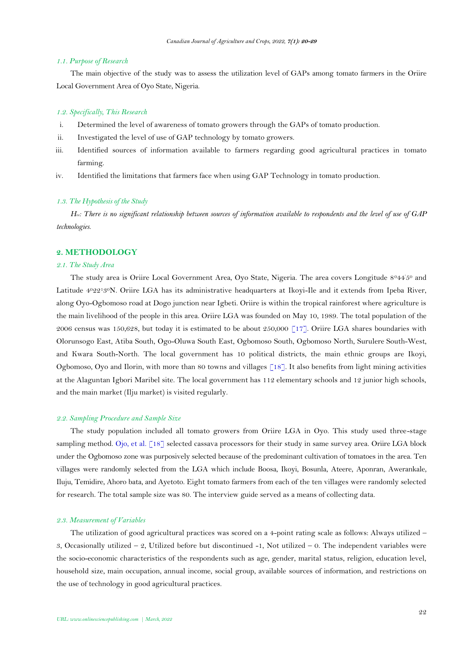#### *1.1. Purpose of Research*

The main objective of the study was to assess the utilization level of GAPs among tomato farmers in the Oriire Local Government Area of Oyo State, Nigeria.

## *1.2. Specifically, This Research*

- i. Determined the level of awareness of tomato growers through the GAPs of tomato production.
- ii. Investigated the level of use of GAP technology by tomato growers.
- iii. Identified sources of information available to farmers regarding good agricultural practices in tomato farming.
- iv. Identified the limitations that farmers face when using GAP Technology in tomato production.

### *1.3. The Hypothesis of the Study*

*H01: There is no significant relationship between sources of information available to respondents and the level of use of GAP technologies*.

### **2. METHODOLOGY**

#### *2.1. The Study Area*

The study area is Oriire Local Government Area, Oyo State, Nigeria. The area covers Longitude 8°44'5° and Latitude 4022130N. Oriire LGA has its administrative headquarters at Ikoyi-Ile and it extends from Ipeba River, along Oyo-Ogbomoso road at Dogo junction near Igbeti. Oriire is within the tropical rainforest where agriculture is the main livelihood of the people in this area. Oriire LGA was founded on May 10, 1989. The total population of the 2006 census was 150,628, but today it is estimated to be about 250,000 [\[17\]](#page-8-9). Oriire LGA shares boundaries with Olorunsogo East, Atiba South, Ogo-Oluwa South East, Ogbomoso South, Ogbomoso North, Surulere South-West, and Kwara South-North. The local government has 10 political districts, the main ethnic groups are Ikoyi, Ogbomoso, Oyo and Ilorin, with more than 80 towns and villages [\[18\]](#page-8-10). It also benefits from light mining activities at the Alaguntan Igbori Maribel site. The local government has 112 elementary schools and 12 junior high schools, and the main market (Ilju market) is visited regularly.

#### *2.2. Sampling Procedure and Sample Size*

The study population included all tomato growers from Oriire LGA in Oyo. This study used three-stage sampling method. [Ojo, et al. \[18\]](#page-8-10) selected cassava processors for their study in same survey area. Oriire LGA block under the Ogbomoso zone was purposively selected because of the predominant cultivation of tomatoes in the area. Ten villages were randomly selected from the LGA which include Boosa, Ikoyi, Bosunla, Ateere, Aponran, Awerankale, Iluju, Temidire, Ahoro bata, and Ayetoto. Eight tomato farmers from each of the ten villages were randomly selected for research. The total sample size was 80. The interview guide served as a means of collecting data.

#### *2.3. Measurement of Variables*

The utilization of good agricultural practices was scored on a 4-point rating scale as follows: Always utilized – 3, Occasionally utilized  $-2$ , Utilized before but discontinued  $-1$ , Not utilized  $-0$ . The independent variables were the socio-economic characteristics of the respondents such as age, gender, marital status, religion, education level, household size, main occupation, annual income, social group, available sources of information, and restrictions on the use of technology in good agricultural practices.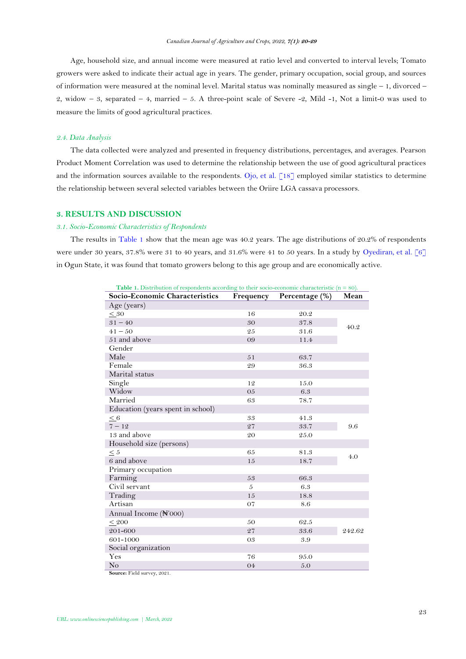Age, household size, and annual income were measured at ratio level and converted to interval levels; Tomato growers were asked to indicate their actual age in years. The gender, primary occupation, social group, and sources of information were measured at the nominal level. Marital status was nominally measured as single – 1, divorced – 2, widow  $-3$ , separated  $-4$ , married  $-5$ . A three-point scale of Severe  $-2$ , Mild  $-1$ , Not a limit-0 was used to measure the limits of good agricultural practices.

### *2.4. Data Analysis*

The data collected were analyzed and presented in frequency distributions, percentages, and averages. Pearson Product Moment Correlation was used to determine the relationship between the use of good agricultural practices and the information sources available to the respondents. [Ojo, et al. \[18\]](#page-8-10) employed similar statistics to determine the relationship between several selected variables between the Oriire LGA cassava processors.

## **3. RESULTS AND DISCUSSION**

## *3.1. Socio-Economic Characteristics of Respondents*

<span id="page-3-0"></span>The results in [Table 1](#page-3-0) show that the mean age was 40.2 years. The age distributions of 20.2% of respondents were under 30 years, 37.8% were 31 to 40 years, and 31.6% were 41 to 50 years. In a study by [Oyediran, et al. \[6\]](#page-8-11) in Ogun State, it was found that tomato growers belong to this age group and are economically active.

| <b>Table 1.</b> Distribution of respondents according to their socio-economic characteristic $(n = 80)$ . |           |                |        |  |  |
|-----------------------------------------------------------------------------------------------------------|-----------|----------------|--------|--|--|
| Socio-Economic Characteristics                                                                            | Frequency | Percentage (%) | Mean   |  |  |
| Age (years)                                                                                               |           |                |        |  |  |
| < 30                                                                                                      | 16        | 20.2           |        |  |  |
| $31 - 40$                                                                                                 | 30        | $37.8\,$       | 40.2   |  |  |
| $41 - 50$                                                                                                 | 25        | 31.6           |        |  |  |
| 51 and above                                                                                              | 09        | 11.4           |        |  |  |
| Gender                                                                                                    |           |                |        |  |  |
| Male                                                                                                      | 51        | 63.7           |        |  |  |
| Female                                                                                                    | 29        | 36.3           |        |  |  |
| Marital status                                                                                            |           |                |        |  |  |
| Single                                                                                                    | 12        | 15.0           |        |  |  |
| Widow                                                                                                     | 05        | 6.3            |        |  |  |
| Married                                                                                                   | 63        | 78.7           |        |  |  |
| Education (years spent in school)                                                                         |           |                |        |  |  |
| $< 6\,$                                                                                                   | 33        | 41.3           |        |  |  |
| $7 - 12$                                                                                                  | 27        | 33.7           | 9.6    |  |  |
| 13 and above                                                                                              | 20        | 25.0           |        |  |  |
| Household size (persons)                                                                                  |           |                |        |  |  |
| $<5\,$                                                                                                    | 65        | 81.3           | 4.0    |  |  |
| 6 and above                                                                                               | 15        | 18.7           |        |  |  |
| Primary occupation                                                                                        |           |                |        |  |  |
| Farming                                                                                                   | 53        | 66.3           |        |  |  |
| Civil servant                                                                                             | 5         | 6.3            |        |  |  |
| Trading                                                                                                   | 15        | 18.8           |        |  |  |
| Artisan                                                                                                   | 07        | 8.6            |        |  |  |
| Annual Income (N'000)                                                                                     |           |                |        |  |  |
| ${}_{< 200}$                                                                                              | 50        | 62.5           |        |  |  |
| 201-600                                                                                                   | 27        | 33.6           | 242.62 |  |  |
| 601-1000                                                                                                  | 03        | 3.9            |        |  |  |
| Social organization                                                                                       |           |                |        |  |  |
| Yes                                                                                                       | 76        | 95.0           |        |  |  |
| No                                                                                                        | 04        | 5.0            |        |  |  |

**Source:** Field survey, 2021.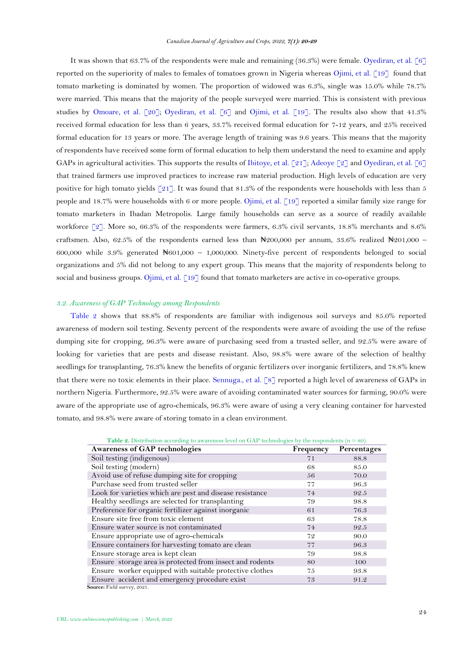It was shown that 63.7% of the respondents were male and remaining (36.3%) were female. [Oyediran, et al. \[6\]](#page-8-11) reported on the superiority of males to females of tomatoes grown in Nigeria whereas [Ojimi, et al. \[19\]](#page-8-12) found that tomato marketing is dominated by women. The proportion of widowed was 6.3%, single was 15.0% while 78.7% were married. This means that the majority of the people surveyed were married. This is consistent with previous studies by [Omoare, et al. \[20\]](#page-8-13); [Oyediran, et al. \[6\]](#page-8-11) and [Ojimi, et al. \[19\]](#page-8-12). The results also show that 41.3% received formal education for less than 6 years, 33.7% received formal education for 7-12 years, and 25% received formal education for 13 years or more. The average length of training was 9.6 years. This means that the majority of respondents have received some form of formal education to help them understand the need to examine and apply GAPs in agricultural activities. This supports the results of [Ibitoye, et al. \[21\]](#page-9-0); [Adeoye \[2\]](#page-7-1) and [Oyediran, et al. \[6\]](#page-8-11) that trained farmers use improved practices to increase raw material production. High levels of education are very positive for high tomato yields  $\lceil 21 \rceil$ . It was found that 81.3% of the respondents were households with less than 5 people and 18.7% were households with 6 or more people. [Ojimi, et al. \[19\]](#page-8-12) reported a similar family size range for tomato marketers in Ibadan Metropolis. Large family households can serve as a source of readily available workforce [\[2\]](#page-7-1). More so, 66.3% of the respondents were farmers, 6.3% civil servants, 18.8% merchants and 8.6% craftsmen. Also, 62.5% of the respondents earned less than ₦200,000 per annum, 33.6% realized ₦201,000 – 600,000 while  $3.9\%$  generated  $\text{H}601,000 - 1,000,000$ . Ninety-five percent of respondents belonged to social organizations and 5% did not belong to any expert group. This means that the majority of respondents belong to social and business groups. [Ojimi, et al. \[19\]](#page-8-12) found that tomato marketers are active in co-operative groups.

## *3.2. Awareness of GAP Technology among Respondents*

[Table 2](#page-4-0) shows that 88.8% of respondents are familiar with indigenous soil surveys and 85.0% reported awareness of modern soil testing. Seventy percent of the respondents were aware of avoiding the use of the refuse dumping site for cropping, 96.3% were aware of purchasing seed from a trusted seller, and 92.5% were aware of looking for varieties that are pests and disease resistant. Also, 98.8% were aware of the selection of healthy seedlings for transplanting, 76.3% knew the benefits of organic fertilizers over inorganic fertilizers, and 78.8% knew that there were no toxic elements in their place. [Sennuga., et al. \[8\]](#page-8-1) reported a high level of awareness of GAPs in northern Nigeria. Furthermore, 92.5% were aware of avoiding contaminated water sources for farming, 90.0% were aware of the appropriate use of agro-chemicals, 96.3% were aware of using a very cleaning container for harvested tomato, and 98.8% were aware of storing tomato in a clean environment.

<span id="page-4-0"></span>

| <b>Table 2.</b> Distribution according to awareness level on GAP technologies by the respondents $(n = 80)$ . |           |             |  |  |
|---------------------------------------------------------------------------------------------------------------|-----------|-------------|--|--|
| <b>Awareness of GAP technologies</b>                                                                          | Frequency | Percentages |  |  |
| Soil testing (indigenous)                                                                                     | 71        | 88.8        |  |  |
| Soil testing (modern)                                                                                         | 68        | 85.0        |  |  |
| Avoid use of refuse dumping site for cropping                                                                 | 56        | 70.0        |  |  |
| Purchase seed from trusted seller                                                                             | 77        | 96.3        |  |  |
| Look for varieties which are pest and disease resistance                                                      | 74        | 92.5        |  |  |
| Healthy seedlings are selected for transplanting                                                              | 79        | 98.8        |  |  |
| Preference for organic fertilizer against inorganic                                                           | 61        | 76.3        |  |  |
| Ensure site free from toxic element                                                                           | 63        | 78.8        |  |  |
| Ensure water source is not contaminated                                                                       | 74        | 92.5        |  |  |
| Ensure appropriate use of agro-chemicals                                                                      | 72        | 90.0        |  |  |
| Ensure containers for harvesting tomato are clean                                                             | 77        | 96.3        |  |  |
| Ensure storage area is kept clean                                                                             | 79        | 98.8        |  |  |
| Ensure storage area is protected from insect and rodents                                                      | 80        | 100         |  |  |
| Ensure worker equipped with suitable protective clothes                                                       | 75        | 93.8        |  |  |
| Ensure accident and emergency procedure exist                                                                 | 73        | 91.2        |  |  |
| Source: Field survey, 2021.                                                                                   |           |             |  |  |

**Table 2.** Distribution according to awareness level on GAP technologies by the respondents (n = 80).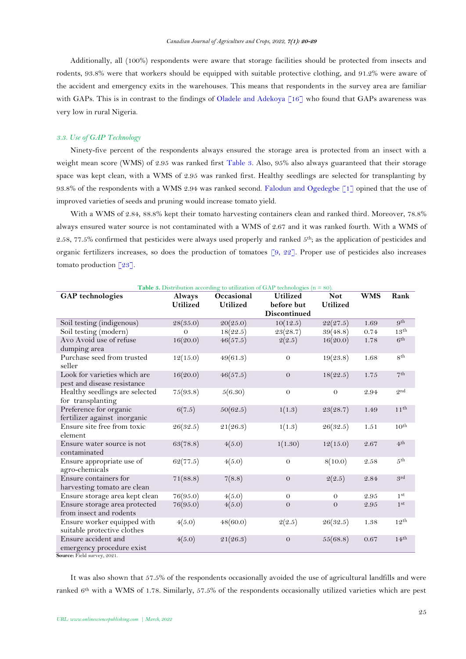Additionally, all (100%) respondents were aware that storage facilities should be protected from insects and rodents, 93.8% were that workers should be equipped with suitable protective clothing, and 91.2% were aware of the accident and emergency exits in the warehouses. This means that respondents in the survey area are familiar with GAPs. This is in contrast to the findings of [Oladele and Adekoya \[16\]](#page-8-8) who found that GAPs awareness was very low in rural Nigeria.

## *3.3. Use of GAP Technology*

Ninety-five percent of the respondents always ensured the storage area is protected from an insect with a weight mean score (WMS) of 2.95 was ranked first [Table 3.](#page-5-0) Also, 95% also always guaranteed that their storage space was kept clean, with a WMS of 2.95 was ranked first. Healthy seedlings are selected for transplanting by 93.8% of the respondents with a WMS 2.94 was ranked second. [Falodun and Ogedegbe \[1\]](#page-7-0) opined that the use of improved varieties of seeds and pruning would increase tomato yield.

With a WMS of 2.84, 88.8% kept their tomato harvesting containers clean and ranked third. Moreover, 78.8% always ensured water source is not contaminated with a WMS of 2.67 and it was ranked fourth. With a WMS of 2.58, 77.5% confirmed that pesticides were always used properly and ranked  $5<sup>th</sup>$ ; as the application of pesticides and organic fertilizers increases, so does the production of tomatoes [\[9,](#page-8-2) [22\]](#page-9-1). Proper use of pesticides also increases tomato production [\[23\]](#page-9-2).

<span id="page-5-0"></span>

| <b>Table 3.</b> Distribution according to utilization of GAP technologies ( $n = 80$ ). |                 |                 |                     |                 |            |                  |
|-----------------------------------------------------------------------------------------|-----------------|-----------------|---------------------|-----------------|------------|------------------|
| <b>GAP</b> technologies                                                                 | <b>Always</b>   | Occasional      | <b>Utilized</b>     | <b>Not</b>      | <b>WMS</b> | Rank             |
|                                                                                         | <b>Utilized</b> | <b>Utilized</b> | before but          | <b>Utilized</b> |            |                  |
|                                                                                         |                 |                 | <b>Discontinued</b> |                 |            |                  |
| Soil testing (indigenous)                                                               | 28(35.0)        | 20(25.0)        | 10(12.5)            | 22(27.5)        | 1.69       | 9 <sup>th</sup>  |
| Soil testing (modern)                                                                   | $\Omega$        | 18(22.5)        | 23(28.7)            | 39(48.8)        | 0.74       | 13 <sup>th</sup> |
| Avo Avoid use of refuse                                                                 | 16(20.0)        | 46(57.5)        | 2(2.5)              | 16(20.0)        | 1.78       | 6 <sup>th</sup>  |
| dumping area                                                                            |                 |                 |                     |                 |            |                  |
| Purchase seed from trusted<br>seller                                                    | 12(15.0)        | 49(61.3)        | $\theta$            | 19(23.8)        | 1.68       | 8 <sup>th</sup>  |
| Look for varieties which are                                                            | 16(20.0)        | 46(57.5)        | $\theta$            | 18(22.5)        | 1.75       | 7 <sup>th</sup>  |
| pest and disease resistance                                                             |                 |                 |                     |                 |            |                  |
| Healthy seedlings are selected                                                          | 75(93.8)        | 5(6.30)         | $\theta$            | $\Omega$        | 2.94       | Q <sub>nd</sub>  |
| for transplanting                                                                       |                 |                 |                     |                 |            |                  |
| Preference for organic                                                                  | 6(7.5)          | 50(62.5)        | 1(1.3)              | 23(28.7)        | 1.49       | $11^{th}$        |
| fertilizer against inorganic                                                            |                 |                 |                     |                 |            |                  |
| Ensure site free from toxic                                                             | 26(32.5)        | 21(26.3)        | 1(1.3)              | 26(32.5)        | 1.51       | 10 <sup>th</sup> |
| element                                                                                 |                 |                 |                     |                 |            |                  |
| Ensure water source is not                                                              | 63(78.8)        | 4(5.0)          | 1(1.30)             | 12(15.0)        | 2.67       | 4 <sup>th</sup>  |
| contaminated                                                                            |                 |                 |                     |                 |            |                  |
| Ensure appropriate use of                                                               | 62(77.5)        | 4(5.0)          | $\theta$            | 8(10.0)         | 2.58       | 5 <sup>th</sup>  |
| agro-chemicals                                                                          |                 |                 |                     |                 |            |                  |
| Ensure containers for                                                                   | 71(88.8)        | 7(8.8)          | $\theta$            | 2(2.5)          | 2.84       | 9rd              |
| harvesting tomato are clean                                                             |                 |                 |                     |                 |            |                  |
| Ensure storage area kept clean                                                          | 76(95.0)        | 4(5.0)          | $\theta$            | $\theta$        | 2.95       | 1 <sup>st</sup>  |
| Ensure storage area protected                                                           | 76(95.0)        | 4(5.0)          | $\theta$            | $\theta$        | 2.95       | 1 <sup>st</sup>  |
| from insect and rodents                                                                 |                 |                 |                     |                 |            |                  |
| Ensure worker equipped with<br>suitable protective clothes                              | 4(5.0)          | 48(60.0)        | 2(2.5)              | 26(32.5)        | 1.38       | $12^{th}$        |
| Ensure accident and                                                                     | 4(5.0)          | 21(26.3)        | $\Omega$            | 55(68.8)        | 0.67       | 14 <sup>th</sup> |
| emergency procedure exist                                                               |                 |                 |                     |                 |            |                  |

**Source:** Field survey, 2021.

It was also shown that 57.5% of the respondents occasionally avoided the use of agricultural landfills and were ranked  $6<sup>th</sup>$  with a WMS of 1.78. Similarly, 57.5% of the respondents occasionally utilized varieties which are pest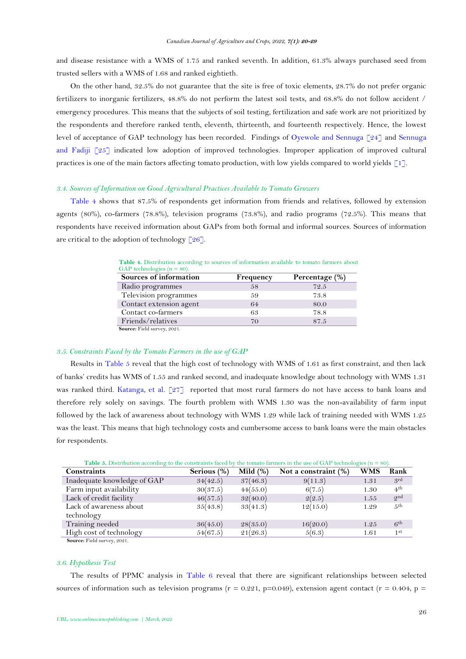and disease resistance with a WMS of 1.75 and ranked seventh. In addition, 61.3% always purchased seed from trusted sellers with a WMS of 1.68 and ranked eightieth.

On the other hand, 32.5% do not guarantee that the site is free of toxic elements, 28.7% do not prefer organic fertilizers to inorganic fertilizers, 48.8% do not perform the latest soil tests, and 68.8% do not follow accident / emergency procedures. This means that the subjects of soil testing, fertilization and safe work are not prioritized by the respondents and therefore ranked tenth, eleventh, thirteenth, and fourteenth respectively. Hence, the lowest level of acceptance of GAP technology has been recorded. Findings of [Oyewole and Sennuga \[24\]](#page-9-3) and Sennuga [and Fadiji \[25\]](#page-9-4) indicated low adoption of improved technologies. Improper application of improved cultural practices is one of the main factors affecting tomato production, with low yields compared to world yields [\[1\]](#page-7-0).

### *3.4. Sources of Information on Good Agricultural Practices Available to Tomato Growers*

<span id="page-6-0"></span>[Table 4](#page-6-0) shows that 87.5% of respondents get information from friends and relatives, followed by extension agents (80%), co-farmers (78.8%), television programs (73.8%), and radio programs (72.5%). This means that respondents have received information about GAPs from both formal and informal sources. Sources of information are critical to the adoption of technology  $\lceil 26 \rceil$ .

| GAP technologies ( $n = 80$ ). |           |                |
|--------------------------------|-----------|----------------|
| Sources of information         | Frequency | Percentage (%) |
| Radio programmes               | 58        | 72.5           |
| Television programmes          | 59        | 73.8           |
| Contact extension agent        | 64        | 80.0           |
| Contact co-farmers             | 63        | 78.8           |
| Friends/relatives              | 70        | 87.5           |
| Source: Field survey, 2021.    |           |                |

Table 4. Distribution according to sources of information available to tomato farmers about GAP technologies ( $n = 80$ ).

**Source:** Field survey, 2021.

## *3.5. Constraints Faced by the Tomato Farmers in the use of GAP*

Results in [Table 5](#page-6-1) reveal that the high cost of technology with WMS of 1.61 as first constraint, and then lack of banks' credits has WMS of 1.55 and ranked second, and inadequate knowledge about technology with WMS 1.31 was ranked third. [Katanga, et al. \[27\]](#page-9-6) reported that most rural farmers do not have access to bank loans and therefore rely solely on savings. The fourth problem with WMS 1.30 was the non-availability of farm input followed by the lack of awareness about technology with WMS 1.29 while lack of training needed with WMS 1.25 was the least. This means that high technology costs and cumbersome access to bank loans were the main obstacles for respondents.

<span id="page-6-1"></span>

| <b>Table 3.</b> Distribution according to the constraints faced by the tomato farmers in the use of OAT technologies ( $\mu = 80$ ). |             |             |                      |      |                 |
|--------------------------------------------------------------------------------------------------------------------------------------|-------------|-------------|----------------------|------|-----------------|
| <b>Constraints</b>                                                                                                                   | Serious (%) | Mild $(\%)$ | Not a constraint (%) | WMS  | Rank            |
| Inadequate knowledge of GAP                                                                                                          | 34(42.5)    | 37(46.3)    | 9(11.3)              | 1.31 | <sub>3rd</sub>  |
| Farm input availability                                                                                                              | 30(37.5)    | 44(55.0)    | 6(7.5)               | 1.30 | 4 <sup>th</sup> |
| Lack of credit facility                                                                                                              | 46(57.5)    | 32(40.0)    | 2(2.5)               | 1.55 | $Q^{\text{nd}}$ |
| Lack of awareness about                                                                                                              | 35(43.8)    | 33(41.3)    | 12(15.0)             | 1.29 | 5 <sup>th</sup> |
| technology                                                                                                                           |             |             |                      |      |                 |
| Training needed                                                                                                                      | 36(45.0)    | 28(35.0)    | 16(20.0)             | 1.25 | 6 <sup>th</sup> |
| High cost of technology                                                                                                              | 54(67.5)    | 21(26.3)    | 5(6.3)               | 1.61 | 1 <sup>st</sup> |
| Source: Field survey, 2021.                                                                                                          |             |             |                      |      |                 |

**Table 5.** Distribution according to the constraints faced by the tomato farmers in the use of GAP technologies (n = 80).

#### *3.6. Hypothesis Test*

The results of PPMC analysis in [Table 6](#page-7-3) reveal that there are significant relationships between selected sources of information such as television programs ( $r = 0.221$ , p=0.049), extension agent contact ( $r = 0.404$ , p =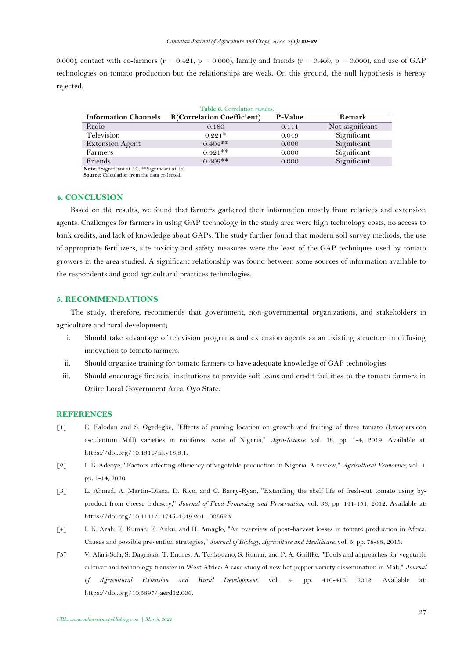0.000), contact with co-farmers ( $r = 0.421$ ,  $p = 0.000$ ), family and friends ( $r = 0.409$ ,  $p = 0.000$ ), and use of GAP technologies on tomato production but the relationships are weak. On this ground, the null hypothesis is hereby rejected.

<span id="page-7-3"></span>

| Table 6. Correlation results.                                                                                              |                                   |         |                 |
|----------------------------------------------------------------------------------------------------------------------------|-----------------------------------|---------|-----------------|
| <b>Information Channels</b>                                                                                                | <b>R(Correlation Coefficient)</b> | P-Value | Remark          |
| Radio                                                                                                                      | 0.180                             | 0.111   | Not-significant |
| Television                                                                                                                 | $0.221*$                          | 0.049   | Significant     |
| Extension Agent                                                                                                            | $0.404$ **                        | 0.000   | Significant     |
| Farmers                                                                                                                    | $0.491$ **                        | 0.000   | Significant     |
| Friends<br>the contract of the contract of the contract of the contract of the contract of the contract of the contract of | $0.409**$<br>$\cdots$             | 0.000   | Significant     |

**Note:** \*Significant at 5%; \*\*Significant at 1% **Source:** Calculation from the data collected.

### **4. CONCLUSION**

Based on the results, we found that farmers gathered their information mostly from relatives and extension agents. Challenges for farmers in using GAP technology in the study area were high technology costs, no access to bank credits, and lack of knowledge about GAPs. The study further found that modern soil survey methods, the use of appropriate fertilizers, site toxicity and safety measures were the least of the GAP techniques used by tomato growers in the area studied. A significant relationship was found between some sources of information available to the respondents and good agricultural practices technologies.

## **5. RECOMMENDATIONS**

The study, therefore, recommends that government, non-governmental organizations, and stakeholders in agriculture and rural development;

- i. Should take advantage of television programs and extension agents as an existing structure in diffusing innovation to tomato farmers.
- ii. Should organize training for tomato farmers to have adequate knowledge of GAP technologies.
- iii. Should encourage financial institutions to provide soft loans and credit facilities to the tomato farmers in Oriire Local Government Area, Oyo State.

## **REFERENCES**

- <span id="page-7-0"></span>[1] E. Falodun and S. Ogedegbe, "Effects of pruning location on growth and fruiting of three tomato (Lycopersicon esculentum Mill) varieties in rainforest zone of Nigeria," *Agro-Science,* vol. 18, pp. 1-4, 2019. Available at: https://doi.org/10.4314/as.v18i3.1.
- <span id="page-7-1"></span>[2] I. B. Adeoye, "Factors affecting efficiency of vegetable production in Nigeria: A review," *Agricultural Economics,* vol. 1, pp. 1-14, 2020.
- [3] L. Ahmed, A. Martin-Diana, D. Rico, and C. Barry-Ryan, "Extending the shelf life of fresh-cut tomato using byproduct from cheese industry," *Journal of Food Processing and Preservation,* vol. 36, pp. 141-151, 2012. Available at: https://doi.org/10.1111/j.1745-4549.2011.00562.x.
- <span id="page-7-2"></span>[4] I. K. Arah, E. Kumah, E. Anku, and H. Amaglo, "An overview of post-harvest losses in tomato production in Africa: Causes and possible prevention strategies," *Journal of Biology, Agriculture and Healthcare,* vol. 5, pp. 78-88, 2015.
- [5] V. Afari-Sefa, S. Dagnoko, T. Endres, A. Tenkouano, S. Kumar, and P. A. Gniffke, "Tools and approaches for vegetable cultivar and technology transfer in West Africa: A case study of new hot pepper variety dissemination in Mali," *Journal of Agricultural Extension and Rural Development,* vol. 4, pp. 410-416, 2012. Available at: https://doi.org/10.5897/jaerd12.006.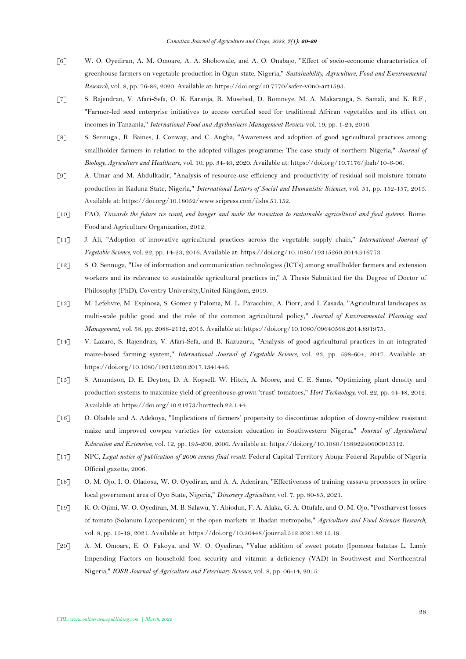- <span id="page-8-11"></span>[6] W. O. Oyediran, A. M. Omoare, A. A. Shobowale, and A. O. Onabajo, "Effect of socio-economic characteristics of greenhouse farmers on vegetable production in Ogun state, Nigeria," *Sustainability, Agriculture, Food and Environmental Research,* vol. 8, pp. 76-86, 2020. Available at: https://doi.org/10.7770/safer-v0n0-art1593.
- <span id="page-8-0"></span>[7] S. Rajendran, V. Afari-Sefa, O. K. Karanja, R. Musebed, D. Romneye, M. A. Makaranga, S. Samali, and K. R.F., "Farmer-led seed enterprise initiatives to access certified seed for traditional African vegetables and its effect on incomes in Tanzania," *International Food and Agribusiness Management Review* vol. 19, pp. 1-24, 2016.
- <span id="page-8-1"></span>[8] S. Sennuga., R. Baines, J. Conway, and C. Angba, "Awareness and adoption of good agricultural practices among smallholder farmers in relation to the adopted villages programme: The case study of northern Nigeria," *Journal of Biology, Agriculture and Healthcare,* vol. 10, pp. 34-49, 2020. Available at: https://doi.org/10.7176/jbah/10-6-06.
- <span id="page-8-2"></span>[9] A. Umar and M. Abdulkadir, "Analysis of resource-use efficiency and productivity of residual soil moisture tomato production in Kaduna State, Nigeria," *International Letters of Social and Humanistic Sciences,* vol. 51, pp. 152-157, 2015. Available at: https://doi.org/10.18052/www.scipress.com/ilshs.51.152.
- <span id="page-8-3"></span>[10] FAO, *Towards the future we want, end hunger and make the transition to sustainable agricultural and food systems*. Rome: Food and Agriculture Organization, 2012.
- <span id="page-8-4"></span>[11] J. Ali, "Adoption of innovative agricultural practices across the vegetable supply chain," *International Journal of Vegetable Science,* vol. 22, pp. 14-23, 2016. Available at: https://doi.org/10.1080/19315260.2014.916773.
- [12] S. O. Sennuga, "Use of information and communication technologies (ICTs) among smallholder farmers and extension workers and its relevance to sustainable agricultural practices in," A Thesis Submitted for the Degree of Doctor of Philosophy (PhD), Coventry University,United Kingdom, 2019.
- <span id="page-8-5"></span>[13] M. Lefebvre, M. Espinosa, S. Gomez y Paloma, M. L. Paracchini, A. Piorr, and I. Zasada, "Agricultural landscapes as multi-scale public good and the role of the common agricultural policy," *Journal of Environmental Planning and Management,* vol. 58, pp. 2088-2112, 2015. Available at: https://doi.org/10.1080/09640568.2014.891975.
- <span id="page-8-6"></span>[14] V. Lazaro, S. Rajendran, V. Afari-Sefa, and B. Kazuzuru, "Analysis of good agricultural practices in an integrated maize-based farming system," *International Journal of Vegetable Science,* vol. 23, pp. 598-604, 2017. Available at: https://doi.org/10.1080/19315260.2017.1341445.
- <span id="page-8-7"></span>[15] S. Amundson, D. E. Deyton, D. A. Kopsell, W. Hitch, A. Moore, and C. E. Sams, "Optimizing plant density and production systems to maximize yield of greenhouse-grown 'trust' tomatoes," *Hort Technology,* vol. 22, pp. 44-48, 2012. Available at: https://doi.org/10.21273/horttech.22.1.44.
- <span id="page-8-8"></span>[16] O. Oladele and A. Adekoya, "Implications of farmers' propensity to discontinue adoption of downy-mildew resistant maize and improved cowpea varieties for extension education in Southwestern Nigeria," *Journal of Agricultural Education and Extension,* vol. 12, pp. 195-200, 2006. Available at: https://doi.org/10.1080/13892240600915512.
- <span id="page-8-9"></span>[17] NPC, *Legal notice of publication of 2006 census final result*. Federal Capital Territory Abuja: Federal Republic of Nigeria Official gazette, 2006.
- <span id="page-8-10"></span>[18] O. M. Ojo, I. O. Oladosu, W. O. Oyediran, and A. A. Adeniran, "Effectiveness of training cassava processors in oriire local government area of Oyo State, Nigeria," *Discovery Agriculture,* vol. 7, pp. 80-85, 2021.
- <span id="page-8-12"></span>[19] K. O. Ojimi, W. O. Oyediran, M. B. Salawu, Y. Abiodun, F. A. Alaka, G. A. Otufale, and O. M. Ojo, "Postharvest losses of tomato (Solanum Lycopersicum) in the open markets in Ibadan metropolis," *Agriculture and Food Sciences Research,*  vol. 8, pp. 15-19, 2021. Available at: https://doi.org/10.20448/journal.512.2021.82.15.19.
- <span id="page-8-13"></span>[20] A. M. Omoare, E. O. Fakoya, and W. O. Oyediran, "Value addition of sweet potato (Ipomoea batatas L. Lam): Impending Factors on household food security and vitamin a deficiency (VAD) in Southwest and Northcentral Nigeria," *IOSR Journal of Agriculture and Veterinary Science,* vol. 8, pp. 06-14, 2015.